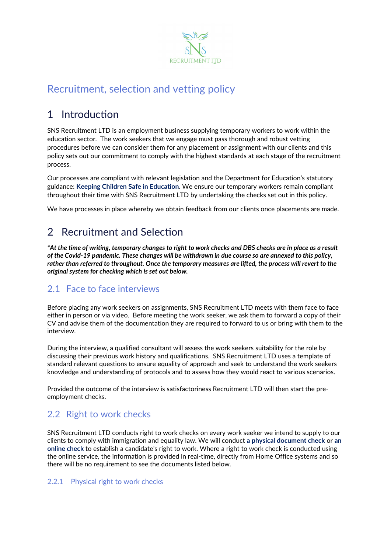

# Recruitment, selection and vetting policy

# 1 Introduction

SNS Recruitment LTD is an employment business supplying temporary workers to work within the education sector. The work seekers that we engage must pass thorough and robust vetting procedures before we can consider them for any placement or assignment with our clients and this policy sets out our commitment to comply with the highest standards at each stage of the recruitment process.

Our processes are compliant with relevant legislation and the Department for Education's statutory guidance: **Keeping Children Safe in Education**. We ensure our temporary workers remain compliant throughout their time with SNS Recruitment LTD by undertaking the checks set out in this policy.

We have processes in place whereby we obtain feedback from our clients once placements are made.

# 2 Recruitment and Selection

*\*At the time of writing, temporary changes to right to work checks and DBS checks are in place as a result of the Covid-19 pandemic. These changes will be withdrawn in due course so are annexed to this policy, rather than referred to throughout. Once the temporary measures are lifted, the process will revert to the original system for checking which is set out below.*

## 2.1 Face to face interviews

Before placing any work seekers on assignments, SNS Recruitment LTD meets with them face to face either in person or via video. Before meeting the work seeker, we ask them to forward a copy of their CV and advise them of the documentation they are required to forward to us or bring with them to the interview.

During the interview, a qualified consultant will assess the work seekers suitability for the role by discussing their previous work history and qualifications. SNS Recruitment LTD uses a template of standard relevant questions to ensure equality of approach and seek to understand the work seekers knowledge and understanding of protocols and to assess how they would react to various scenarios.

Provided the outcome of the interview is satisfactoriness Recruitment LTD will then start the preemployment checks.

## 2.2 Right to work checks

SNS Recruitment LTD conducts right to work checks on every work seeker we intend to supply to our clients to comply with immigration and equality law. We will conduct **a physical document check** or **an online check** to establish a candidate's right to work. Where a right to work check is conducted using the online service, the information is provided in real-time, directly from Home Office systems and so there will be no requirement to see the documents listed below.

#### 2.2.1 Physical right to work checks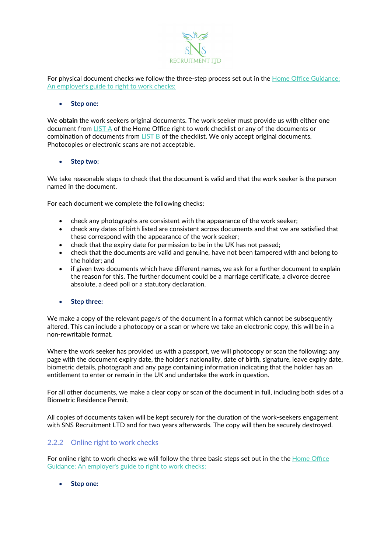

For physical document checks we follow the three-step process set out in the [Home Office Guidance:](https://www.gov.uk/government/publications/right-to-work-checks-employers-guide)  An employer's guide [to right to work checks:](https://www.gov.uk/government/publications/right-to-work-checks-employers-guide)

#### • **Step one:**

We **obtain** the work seekers original documents. The work seeker must provide us with either one document from [LIST A](https://assets.publishing.service.gov.uk/government/uploads/system/uploads/attachment_data/file/774286/Right_to_Work_Checklist.pdf) of the Home Office right to work checklist or any of the documents or combination of documents from [LIST B](https://assets.publishing.service.gov.uk/government/uploads/system/uploads/attachment_data/file/774286/Right_to_Work_Checklist.pdf) of the checklist. We only accept original documents. Photocopies or electronic scans are not acceptable.

#### • **Step two:**

We take reasonable steps to check that the document is valid and that the work seeker is the person named in the document.

For each document we complete the following checks:

- check any photographs are consistent with the appearance of the work seeker;
- check any dates of birth listed are consistent across documents and that we are satisfied that these correspond with the appearance of the work seeker;
- check that the expiry date for permission to be in the UK has not passed;
- check that the documents are valid and genuine, have not been tampered with and belong to the holder; and
- if given two documents which have different names, we ask for a further document to explain the reason for this. The further document could be a marriage certificate, a divorce decree absolute, a deed poll or a statutory declaration.
- **Step three:**

We make a copy of the relevant page/s of the document in a format which cannot be subsequently altered. This can include a photocopy or a scan or where we take an electronic copy, this will be in a non-rewritable format.

Where the work seeker has provided us with a passport, we will photocopy or scan the following: any page with the document expiry date, the holder's nationality, date of birth, signature, leave expiry date, biometric details, photograph and any page containing information indicating that the holder has an entitlement to enter or remain in the UK and undertake the work in question.

For all other documents, we make a clear copy or scan of the document in full, including both sides of a Biometric Residence Permit.

All copies of documents taken will be kept securely for the duration of the work-seekers engagement with SNS Recruitment LTD and for two years afterwards. The copy will then be securely destroyed.

#### 2.2.2 Online right to work checks

For online right to work checks we will follow the three basic steps set out in the the [Home Office](https://www.gov.uk/government/publications/right-to-work-checks-employers-guide)  [Guidance: An employer's guide to right to work checks:](https://www.gov.uk/government/publications/right-to-work-checks-employers-guide)

• **Step one:**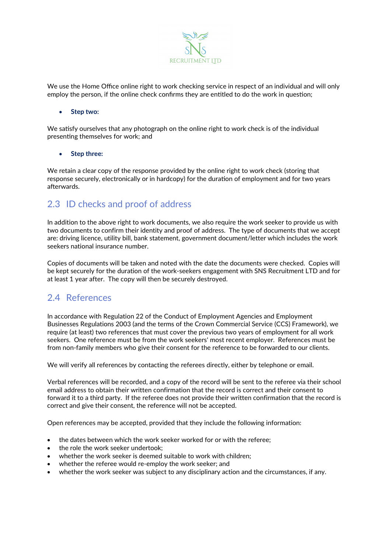

We use the Home Office online right to work checking service in respect of an individual and will only employ the person, if the online check confirms they are entitled to do the work in question;

#### • **Step two:**

We satisfy ourselves that any photograph on the online right to work check is of the individual presenting themselves for work; and

#### • **Step three:**

We retain a clear copy of the response provided by the online right to work check (storing that response securely, electronically or in hardcopy) for the duration of employment and for two years afterwards.

#### 2.3 ID checks and proof of address

In addition to the above right to work documents, we also require the work seeker to provide us with two documents to confirm their identity and proof of address. The type of documents that we accept are: driving licence, utility bill, bank statement, government document/letter which includes the work seekers national insurance number.

Copies of documents will be taken and noted with the date the documents were checked. Copies will be kept securely for the duration of the work-seekers engagement with SNS Recruitment LTD and for at least 1 year after. The copy will then be securely destroyed.

#### 2.4 References

In accordance with Regulation 22 of the Conduct of Employment Agencies and Employment Businesses Regulations 2003 (and the terms of the Crown Commercial Service (CCS) Framework), we require (at least) two references that must cover the previous two years of employment for all work seekers. One reference must be from the work seekers' most recent employer. References must be from non-family members who give their consent for the reference to be forwarded to our clients.

We will verify all references by contacting the referees directly, either by telephone or email.

Verbal references will be recorded, and a copy of the record will be sent to the referee via their school email address to obtain their written confirmation that the record is correct and their consent to forward it to a third party. If the referee does not provide their written confirmation that the record is correct and give their consent, the reference will not be accepted.

Open references may be accepted, provided that they include the following information:

- the dates between which the work seeker worked for or with the referee;
- the role the work seeker undertook:
- whether the work seeker is deemed suitable to work with children;
- whether the referee would re-employ the work seeker; and
- whether the work seeker was subject to any disciplinary action and the circumstances, if any.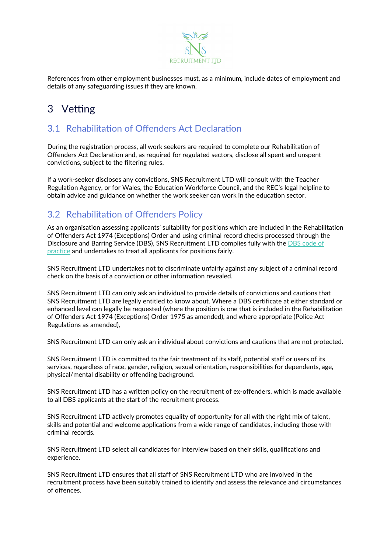

References from other employment businesses must, as a minimum, include dates of employment and details of any safeguarding issues if they are known.

# 3 Vetting

## 3.1 Rehabilitation of Offenders Act Declaration

During the registration process, all work seekers are required to complete our Rehabilitation of Offenders Act Declaration and, as required for regulated sectors, disclose all spent and unspent convictions, subject to the filtering rules.

If a work-seeker discloses any convictions, SNS Recruitment LTD will consult with the Teacher Regulation Agency, or for Wales, the Education Workforce Council, and the REC's legal helpline to obtain advice and guidance on whether the work seeker can work in the education sector.

## 3.2 Rehabilitation of Offenders Policy

As an organisation assessing applicants' suitability for positions which are included in the Rehabilitation of Offenders Act 1974 (Exceptions) Order and using criminal record checks processed through the Disclosure and Barring Service (DBS), SNS Recruitment LTD complies fully with the DBS code of [practice](https://www.gov.uk/government/publications/dbs-code-of-practice) and undertakes to treat all applicants for positions fairly.

SNS Recruitment LTD undertakes not to discriminate unfairly against any subject of a criminal record check on the basis of a conviction or other information revealed.

SNS Recruitment LTD can only ask an individual to provide details of convictions and cautions that SNS Recruitment LTD are legally entitled to know about. Where a DBS certificate at either standard or enhanced level can legally be requested (where the position is one that is included in the Rehabilitation of Offenders Act 1974 (Exceptions) Order 1975 as amended), and where appropriate (Police Act Regulations as amended),

SNS Recruitment LTD can only ask an individual about convictions and cautions that are not protected.

SNS Recruitment LTD is committed to the fair treatment of its staff, potential staff or users of its services, regardless of race, gender, religion, sexual orientation, responsibilities for dependents, age, physical/mental disability or offending background.

SNS Recruitment LTD has a written policy on the recruitment of ex-offenders, which is made available to all DBS applicants at the start of the recruitment process.

SNS Recruitment LTD actively promotes equality of opportunity for all with the right mix of talent, skills and potential and welcome applications from a wide range of candidates, including those with criminal records.

SNS Recruitment LTD select all candidates for interview based on their skills, qualifications and experience.

SNS Recruitment LTD ensures that all staff of SNS Recruitment LTD who are involved in the recruitment process have been suitably trained to identify and assess the relevance and circumstances of offences.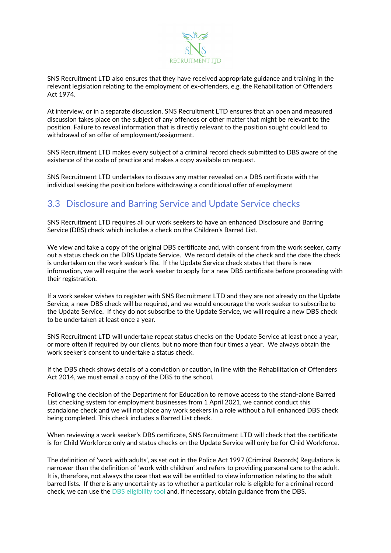

SNS Recruitment LTD also ensures that they have received appropriate guidance and training in the relevant legislation relating to the employment of ex-offenders, e.g. the Rehabilitation of Offenders Act 1974.

At interview, or in a separate discussion, SNS Recruitment LTD ensures that an open and measured discussion takes place on the subject of any offences or other matter that might be relevant to the position. Failure to reveal information that is directly relevant to the position sought could lead to withdrawal of an offer of employment/assignment.

SNS Recruitment LTD makes every subject of a criminal record check submitted to DBS aware of the existence of the code of practice and makes a copy available on request.

SNS Recruitment LTD undertakes to discuss any matter revealed on a DBS certificate with the individual seeking the position before withdrawing a conditional offer of employment

### 3.3 Disclosure and Barring Service and Update Service checks

SNS Recruitment LTD requires all our work seekers to have an enhanced Disclosure and Barring Service (DBS) check which includes a check on the Children's Barred List.

We view and take a copy of the original DBS certificate and, with consent from the work seeker, carry out a status check on the DBS Update Service. We record details of the check and the date the check is undertaken on the work seeker's file. If the Update Service check states that there is new information, we will require the work seeker to apply for a new DBS certificate before proceeding with their registration.

If a work seeker wishes to register with SNS Recruitment LTD and they are not already on the Update Service, a new DBS check will be required, and we would encourage the work seeker to subscribe to the Update Service. If they do not subscribe to the Update Service, we will require a new DBS check to be undertaken at least once a year.

SNS Recruitment LTD will undertake repeat status checks on the Update Service at least once a year, or more often if required by our clients, but no more than four times a year. We always obtain the work seeker's consent to undertake a status check.

If the DBS check shows details of a conviction or caution, in line with the Rehabilitation of Offenders Act 2014, we must email a copy of the DBS to the school.

Following the decision of the Department for Education to remove access to the stand-alone Barred List checking system for employment businesses from 1 April 2021, we cannot conduct this standalone check and we will not place any work seekers in a role without a full enhanced DBS check being completed. This check includes a Barred List check.

When reviewing a work seeker's DBS certificate, SNS Recruitment LTD will check that the certificate is for Child Workforce only and status checks on the Update Service will only be for Child Workforce.

The definition of 'work with adults', as set out in the Police Act 1997 (Criminal Records) Regulations is narrower than the definition of 'work with children' and refers to providing personal care to the adult. It is, therefore, not always the case that we will be entitled to view information relating to the adult barred lists. If there is any uncertainty as to whether a particular role is eligible for a criminal record check, we can use the [DBS eligibility tool](https://www.gov.uk/find-out-dbs-check) and, if necessary, obtain guidance from the DBS.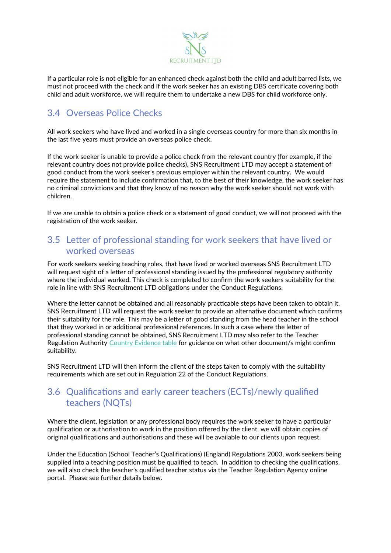

If a particular role is not eligible for an enhanced check against both the child and adult barred lists, we must not proceed with the check and if the work seeker has an existing DBS certificate covering both child and adult workforce, we will require them to undertake a new DBS for child workforce only.

### 3.4 Overseas Police Checks

All work seekers who have lived and worked in a single overseas country for more than six months in the last five years must provide an overseas police check.

If the work seeker is unable to provide a police check from the relevant country (for example, if the relevant country does not provide police checks), SNS Recruitment LTD may accept a statement of good conduct from the work seeker's previous employer within the relevant country. We would require the statement to include confirmation that, to the best of their knowledge, the work seeker has no criminal convictions and that they know of no reason why the work seeker should not work with children.

If we are unable to obtain a police check or a statement of good conduct, we will not proceed with the registration of the work seeker.

#### 3.5 Letter of professional standing for work seekers that have lived or worked overseas

For work seekers seeking teaching roles, that have lived or worked overseas SNS Recruitment LTD will request sight of a letter of professional standing issued by the professional regulatory authority where the individual worked. This check is completed to confirm the work seekers suitability for the role in line with SNS Recruitment LTD obligations under the Conduct Regulations.

Where the letter cannot be obtained and all reasonably practicable steps have been taken to obtain it, SNS Recruitment LTD will request the work seeker to provide an alternative document which confirms their suitability for the role. This may be a letter of good standing from the head teacher in the school that they worked in or additional professional references. In such a case where the letter of professional standing cannot be obtained, SNS Recruitment LTD may also refer to the Teacher Regulation Authority [Country Evidence table](https://eur02.safelinks.protection.outlook.com/?url=https%3A%2F%2Fteacherservices.education.gov.uk%2FMutualRecognition%2F&data=04%7C01%7CPatrick.Milnes%40rec.uk.com%7Ce58d915b99644890915e08d94b5d3e5c%7C872af0c7fa47416791d31eaace3ab8d8%7C0%7C0%7C637623686115299835%7CUnknown%7CTWFpbGZsb3d8eyJWIjoiMC4wLjAwMDAiLCJQIjoiV2luMzIiLCJBTiI6Ik1haWwiLCJXVCI6Mn0%3D%7C1000&sdata=voa3diHGtAqO5aXC0BfjHpLZbSh6NjfiZBkQPVyX8DE%3D&reserved=0) for guidance on what other document/s might confirm suitability.

SNS Recruitment LTD will then inform the client of the steps taken to comply with the suitability requirements which are set out in Regulation 22 of the Conduct Regulations.

#### 3.6 Qualifications and early career teachers (ECTs)/newly qualified teachers (NQTs)

Where the client, legislation or any professional body requires the work seeker to have a particular qualification or authorisation to work in the position offered by the client, we will obtain copies of original qualifications and authorisations and these will be available to our clients upon request.

Under the Education (School Teacher's Qualifications) (England) Regulations 2003, work seekers being supplied into a teaching position must be qualified to teach. In addition to checking the qualifications, we will also check the teacher's qualified teacher status via the Teacher Regulation Agency online portal. Please see further details below.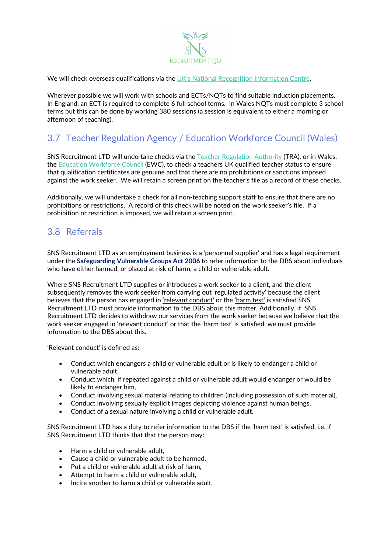

We will check overseas qualifications via the [UK's National Recognition Information Centre.](https://www.naric.org.uk/)

Wherever possible we will work with schools and ECTs/NQTs to find suitable induction placements. In England, an ECT is required to complete 6 full school terms. In Wales NQTs must complete 3 school terms but this can be done by working 380 sessions (a session is equivalent to either a morning or afternoon of teaching).

## 3.7 Teacher Regulation Agency / Education Workforce Council (Wales)

SNS Recruitment LTD will undertake checks via the [Teacher Regulation Authority](https://www.gov.uk/government/organisations/teaching-regulation-agency) (TRA), or in Wales, the [Education Workforce Council](http://www.ewc.wales/site/index.php/en/about) (EWC), to check a teachers UK qualified teacher status to ensure that qualification certificates are genuine and that there are no prohibitions or sanctions imposed against the work seeker. We will retain a screen print on the teacher's file as a record of these checks.

Additionally, we will undertake a check for all non-teaching support staff to ensure that there are no prohibitions or restrictions. A record of this check will be noted on the work seeker's file. If a prohibition or restriction is imposed, we will retain a screen print.

#### 3.8 Referrals

SNS Recruitment LTD as an employment business is a 'personnel supplier' and has a legal requirement under the **Safeguarding Vulnerable Groups Act 2006** to refer information to the DBS about individuals who have either harmed, or placed at risk of harm, a child or vulnerable adult.

Where SNS Recruitment LTD supplies or introduces a work seeker to a client, and the client subsequently removes the work seeker from carrying out 'regulated activity' because the client believes that the person has engaged in 'relevant conduct' or the 'harm test' is satisfied SNS Recruitment LTD must provide information to the DBS about this matter. Additionally, if SNS Recruitment LTD decides to withdraw our services from the work seeker because we believe that the work seeker engaged in 'relevant conduct' or that the 'harm test' is satisfied, we must provide information to the DBS about this.

'Relevant conduct' is defined as:

- Conduct which endangers a child or vulnerable adult or is likely to endanger a child or vulnerable adult,
- Conduct which, if repeated against a child or vulnerable adult would endanger or would be likely to endanger him,
- Conduct involving sexual material relating to children (including possession of such material),
- Conduct involving sexually explicit images depicting violence against human beings,
- Conduct of a sexual nature involving a child or vulnerable adult.

SNS Recruitment LTD has a duty to refer information to the DBS if the 'harm test' is satisfied, i.e. if SNS Recruitment LTD thinks that that the person may:

- Harm a child or vulnerable adult.
- Cause a child or vulnerable adult to be harmed,
- Put a child or vulnerable adult at risk of harm,
- Attempt to harm a child or vulnerable adult,
- Incite another to harm a child or vulnerable adult.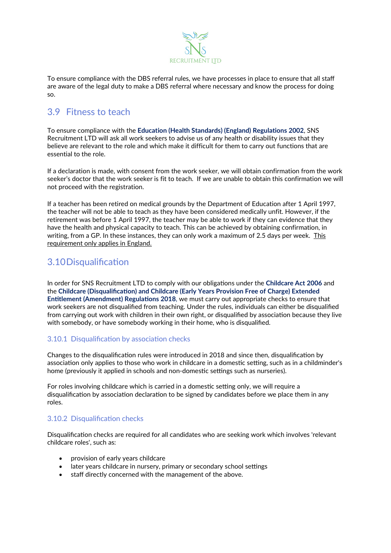

To ensure compliance with the DBS referral rules, we have processes in place to ensure that all staff are aware of the legal duty to make a DBS referral where necessary and know the process for doing so.

#### 3.9 Fitness to teach

To ensure compliance with the **Education (Health Standards) (England) Regulations 2002**, SNS Recruitment LTD will ask all work seekers to advise us of any health or disability issues that they believe are relevant to the role and which make it difficult for them to carry out functions that are essential to the role.

If a declaration is made, with consent from the work seeker, we will obtain confirmation from the work seeker's doctor that the work seeker is fit to teach. If we are unable to obtain this confirmation we will not proceed with the registration.

If a teacher has been retired on medical grounds by the Department of Education after 1 April 1997, the teacher will not be able to teach as they have been considered medically unfit. However, if the retirement was before 1 April 1997, the teacher may be able to work if they can evidence that they have the health and physical capacity to teach. This can be achieved by obtaining confirmation, in writing, from a GP. In these instances, they can only work a maximum of 2.5 days per week. This requirement only applies in England.

#### 3.10Disqualification

In order for SNS Recruitment LTD to comply with our obligations under the **Childcare Act 2006** and the **Childcare (Disqualification) and Childcare (Early Years Provision Free of Charge) Extended Entitlement (Amendment) Regulations 2018**, we must carry out appropriate checks to ensure that work seekers are not disqualified from teaching. Under the rules, individuals can either be disqualified from carrying out work with children in their own right, or disqualified by association because they live with somebody, or have somebody working in their home, who is disqualified.

#### 3.10.1 Disqualification by association checks

Changes to the disqualification rules were introduced in 2018 and since then, disqualification by association only applies to those who work in childcare in a domestic setting, such as in a childminder's home (previously it applied in schools and non-domestic settings such as nurseries).

For roles involving childcare which is carried in a domestic setting only, we will require a disqualification by association declaration to be signed by candidates before we place them in any roles.

#### 3.10.2 Disqualification checks

Disqualification checks are required for all candidates who are seeking work which involves 'relevant childcare roles', such as:

- provision of early years childcare
- later years childcare in nursery, primary or secondary school settings
- staff directly concerned with the management of the above.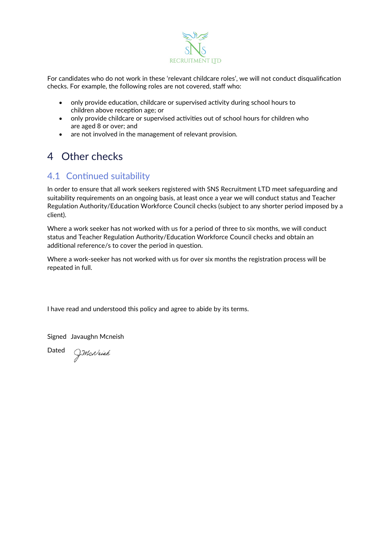

For candidates who do not work in these 'relevant childcare roles', we will not conduct disqualification checks. For example, the following roles are not covered, staff who:

- only provide education, childcare or supervised activity during school hours to children above reception age; or
- only provide childcare or supervised activities out of school hours for children who are aged 8 or over; and
- are not involved in the management of relevant provision.

# 4 Other checks

## 4.1 Continued suitability

In order to ensure that all work seekers registered with SNS Recruitment LTD meet safeguarding and suitability requirements on an ongoing basis, at least once a year we will conduct status and Teacher Regulation Authority/Education Workforce Council checks (subject to any shorter period imposed by a client).

Where a work seeker has not worked with us for a period of three to six months, we will conduct status and Teacher Regulation Authority/Education Workforce Council checks and obtain an additional reference/s to cover the period in question.

Where a work-seeker has not worked with us for over six months the registration process will be repeated in full.

I have read and understood this policy and agree to abide by its terms.

Signed Javaughn Mcneish

Dated *J.McNeish*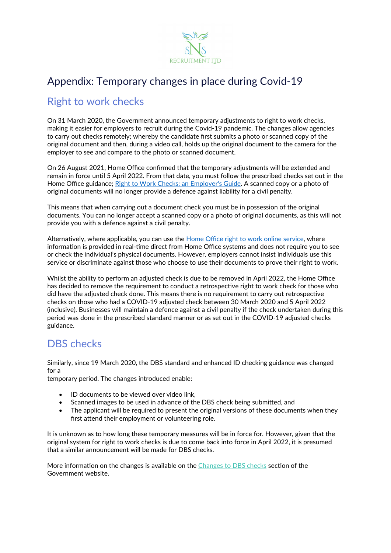

# Appendix: Temporary changes in place during Covid-19

# Right to work checks

On 31 March 2020, the Government announced temporary adjustments to right to work checks, making it easier for employers to recruit during the Covid-19 pandemic. The changes allow agencies to carry out checks remotely; whereby the candidate first submits a photo or scanned copy of the original document and then, during a video call, holds up the original document to the camera for the employer to see and compare to the photo or scanned document.

On 26 August 2021, Home Office confirmed that the temporary adjustments will be extended and remain in force until 5 April 2022. From that date, you must follow the prescribed checks set out in the Home Office guidance; [Right to Work Checks: an Employer's Guide.](https://www.gov.uk/government/collections/right-to-work-checks-employer-guidance) A scanned copy or a photo of original documents will no longer provide a defence against liability for a civil penalty.

This means that when carrying out a document check you must be in possession of the original documents. You can no longer accept a scanned copy or a photo of original documents, as this will not provide you with a defence against a civil penalty.

Alternatively, where applicable, you can use the [Home Office right to work online service](https://www.gov.uk/view-right-to-work), where information is provided in real-time direct from Home Office systems and does not require you to see or check the individual's physical documents. However, employers cannot insist individuals use this service or discriminate against those who choose to use their documents to prove their right to work.

Whilst the ability to perform an adjusted check is due to be removed in April 2022, the Home Office has decided to remove the requirement to conduct a retrospective right to work check for those who did have the adjusted check done. This means there is no requirement to carry out retrospective checks on those who had a COVID-19 adjusted check between 30 March 2020 and 5 April 2022 (inclusive). Businesses will maintain a defence against a civil penalty if the check undertaken during this period was done in the prescribed standard manner or as set out in the COVID-19 adjusted checks guidance.

## DBS checks

Similarly, since 19 March 2020, the DBS standard and enhanced ID checking guidance was changed for a

temporary period. The changes introduced enable:

- ID documents to be viewed over video link,
- Scanned images to be used in advance of the DBS check being submitted, and
- The applicant will be required to present the original versions of these documents when they first attend their employment or volunteering role.

It is unknown as to how long these temporary measures will be in force for. However, given that the original system for right to work checks is due to come back into force in April 2022, it is presumed that a similar announcement will be made for DBS checks.

More information on the changes is available on the [Changes to DBS checks](https://www.gov.uk/government/news/covid-19-changes-to-dbs-id-checking-guidelines) section of the Government website.